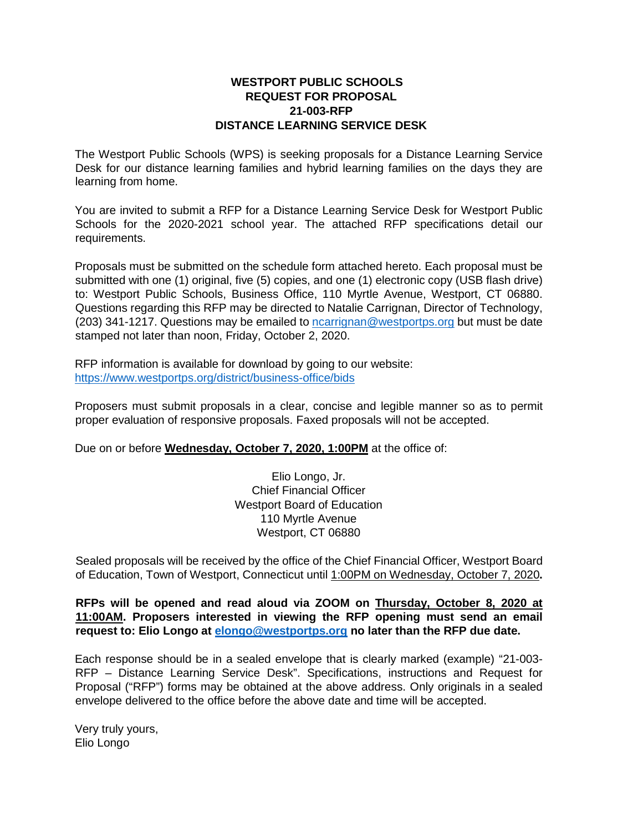#### **WESTPORT PUBLIC SCHOOLS REQUEST FOR PROPOSAL 21-003-RFP DISTANCE LEARNING SERVICE DESK**

The Westport Public Schools (WPS) is seeking proposals for a Distance Learning Service Desk for our distance learning families and hybrid learning families on the days they are learning from home.

You are invited to submit a RFP for a Distance Learning Service Desk for Westport Public Schools for the 2020-2021 school year. The attached RFP specifications detail our requirements.

Proposals must be submitted on the schedule form attached hereto. Each proposal must be submitted with one (1) original, five (5) copies, and one (1) electronic copy (USB flash drive) to: Westport Public Schools, Business Office, 110 Myrtle Avenue, Westport, CT 06880. Questions regarding this RFP may be directed to Natalie Carrignan, Director of Technology, (203) 341-1217. Questions may be emailed to [ncarrignan@westportps.org](mailto:ncarrignan@westportps.org) but must be date stamped not later than noon, Friday, October 2, 2020.

RFP information is available for download by going to our website: <https://www.westportps.org/district/business-office/bids>

Proposers must submit proposals in a clear, concise and legible manner so as to permit proper evaluation of responsive proposals. Faxed proposals will not be accepted.

Due on or before **Wednesday, October 7, 2020, 1:00PM** at the office of:

Elio Longo, Jr. Chief Financial Officer Westport Board of Education 110 Myrtle Avenue Westport, CT 06880

Sealed proposals will be received by the office of the Chief Financial Officer, Westport Board of Education, Town of Westport, Connecticut until 1:00PM on Wednesday, October 7, 2020**.** 

**RFPs will be opened and read aloud via ZOOM on Thursday, October 8, 2020 at 11:00AM. Proposers interested in viewing the RFP opening must send an email request to: Elio Longo at [elongo@westportps.org](mailto:elongo@westportps.org) no later than the RFP due date.**

Each response should be in a sealed envelope that is clearly marked (example) "21-003- RFP – Distance Learning Service Desk". Specifications, instructions and Request for Proposal ("RFP") forms may be obtained at the above address. Only originals in a sealed envelope delivered to the office before the above date and time will be accepted.

Very truly yours, Elio Longo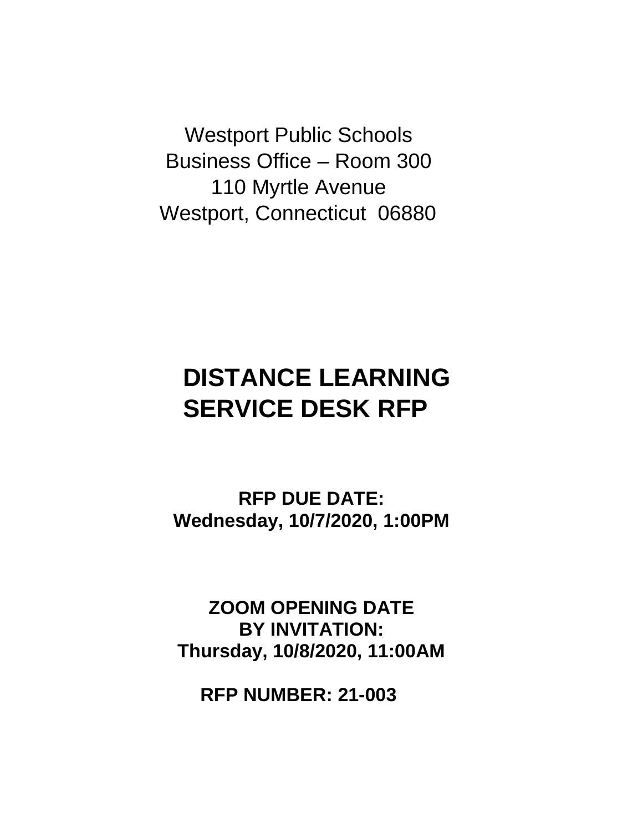Westport Public Schools Business Office – Room 300 110 Myrtle Avenue Westport, Connecticut 06880

# **DISTANCE LEARNING SERVICE DESK RFP**

**RFP DUE DATE: Wednesday, 10/7/2020, 1:00PM**

**ZOOM OPENING DATE BY INVITATION: Thursday, 10/8/2020, 11:00AM**

**RFP NUMBER: 21-003**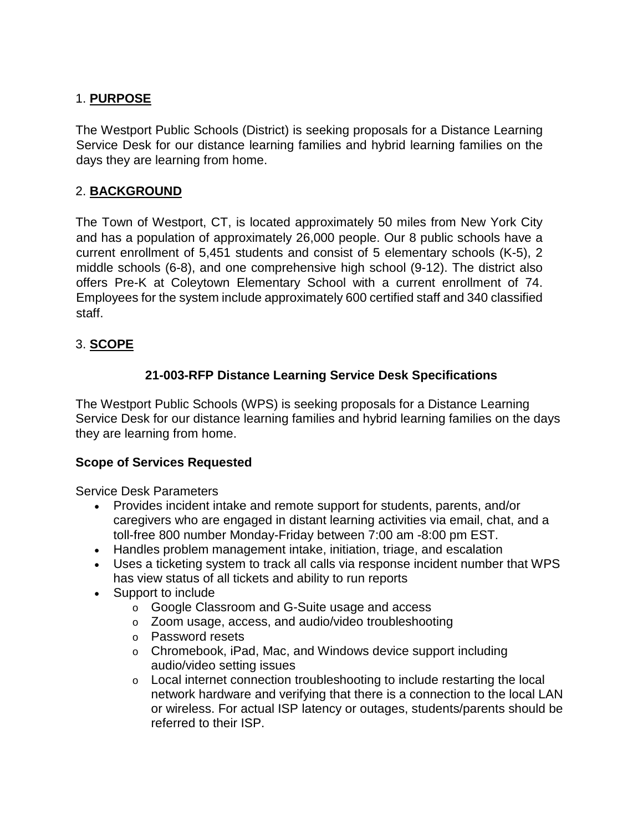# 1. **PURPOSE**

The Westport Public Schools (District) is seeking proposals for a Distance Learning Service Desk for our distance learning families and hybrid learning families on the days they are learning from home.

# 2. **BACKGROUND**

The Town of Westport, CT, is located approximately 50 miles from New York City and has a population of approximately 26,000 people. Our 8 public schools have a current enrollment of 5,451 students and consist of 5 elementary schools (K-5), 2 middle schools (6-8), and one comprehensive high school (9-12). The district also offers Pre-K at Coleytown Elementary School with a current enrollment of 74. Employees for the system include approximately 600 certified staff and 340 classified staff.

# 3. **SCOPE**

# **21-003-RFP Distance Learning Service Desk Specifications**

The Westport Public Schools (WPS) is seeking proposals for a Distance Learning Service Desk for our distance learning families and hybrid learning families on the days they are learning from home.

# **Scope of Services Requested**

Service Desk Parameters

- Provides incident intake and remote support for students, parents, and/or caregivers who are engaged in distant learning activities via email, chat, and a toll-free 800 number Monday-Friday between 7:00 am -8:00 pm EST.
- Handles problem management intake, initiation, triage, and escalation
- Uses a ticketing system to track all calls via response incident number that WPS has view status of all tickets and ability to run reports
- Support to include
	- o Google Classroom and G-Suite usage and access
	- o Zoom usage, access, and audio/video troubleshooting
	- o Password resets
	- $\circ$  Chromebook, iPad, Mac, and Windows device support including audio/video setting issues
	- $\circ$  Local internet connection troubleshooting to include restarting the local network hardware and verifying that there is a connection to the local LAN or wireless. For actual ISP latency or outages, students/parents should be referred to their ISP.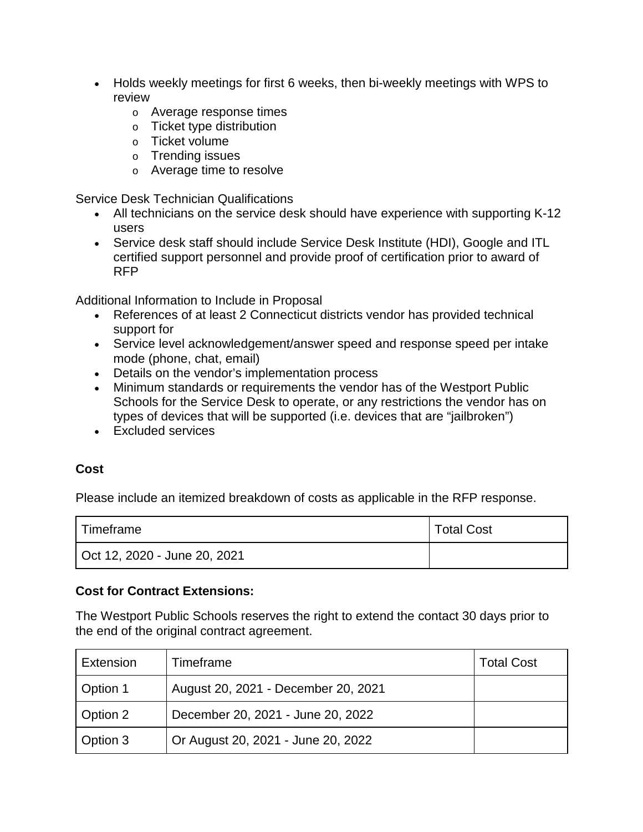- Holds weekly meetings for first 6 weeks, then bi-weekly meetings with WPS to review
	- o Average response times
	- o Ticket type distribution
	- o Ticket volume
	- o Trending issues
	- o Average time to resolve

Service Desk Technician Qualifications

- All technicians on the service desk should have experience with supporting K-12 users
- Service desk staff should include Service Desk Institute (HDI), Google and ITL certified support personnel and provide proof of certification prior to award of RFP

Additional Information to Include in Proposal

- References of at least 2 Connecticut districts vendor has provided technical support for
- Service level acknowledgement/answer speed and response speed per intake mode (phone, chat, email)
- Details on the vendor's implementation process
- Minimum standards or requirements the vendor has of the Westport Public Schools for the Service Desk to operate, or any restrictions the vendor has on types of devices that will be supported (i.e. devices that are "jailbroken")
- Excluded services

# **Cost**

Please include an itemized breakdown of costs as applicable in the RFP response.

| Timeframe                    | <b>Total Cost</b> |
|------------------------------|-------------------|
| Oct 12, 2020 - June 20, 2021 |                   |

#### **Cost for Contract Extensions:**

The Westport Public Schools reserves the right to extend the contact 30 days prior to the end of the original contract agreement.

| Extension | Timeframe                           | <b>Total Cost</b> |
|-----------|-------------------------------------|-------------------|
| Option 1  | August 20, 2021 - December 20, 2021 |                   |
| Option 2  | December 20, 2021 - June 20, 2022   |                   |
| Option 3  | Or August 20, 2021 - June 20, 2022  |                   |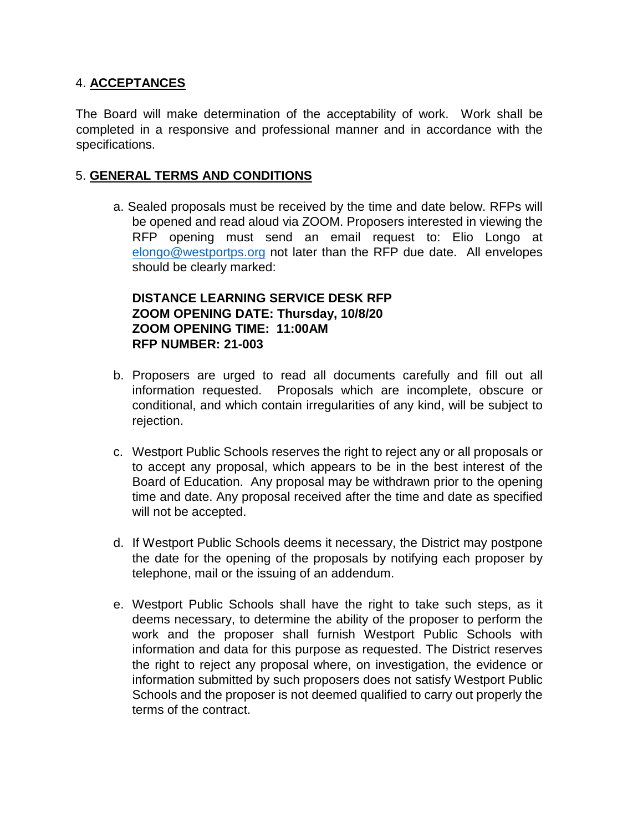#### 4. **ACCEPTANCES**

The Board will make determination of the acceptability of work. Work shall be completed in a responsive and professional manner and in accordance with the specifications.

#### 5. **GENERAL TERMS AND CONDITIONS**

a. Sealed proposals must be received by the time and date below. RFPs will be opened and read aloud via ZOOM. Proposers interested in viewing the RFP opening must send an email request to: Elio Longo at [elongo@westportps.org](mailto:elongo@westportps.org) not later than the RFP due date. All envelopes should be clearly marked:

# **DISTANCE LEARNING SERVICE DESK RFP ZOOM OPENING DATE: Thursday, 10/8/20 ZOOM OPENING TIME: 11:00AM RFP NUMBER: 21-003**

- b. Proposers are urged to read all documents carefully and fill out all information requested. Proposals which are incomplete, obscure or conditional, and which contain irregularities of any kind, will be subject to rejection.
- c. Westport Public Schools reserves the right to reject any or all proposals or to accept any proposal, which appears to be in the best interest of the Board of Education. Any proposal may be withdrawn prior to the opening time and date. Any proposal received after the time and date as specified will not be accepted.
- d. If Westport Public Schools deems it necessary, the District may postpone the date for the opening of the proposals by notifying each proposer by telephone, mail or the issuing of an addendum.
- e. Westport Public Schools shall have the right to take such steps, as it deems necessary, to determine the ability of the proposer to perform the work and the proposer shall furnish Westport Public Schools with information and data for this purpose as requested. The District reserves the right to reject any proposal where, on investigation, the evidence or information submitted by such proposers does not satisfy Westport Public Schools and the proposer is not deemed qualified to carry out properly the terms of the contract.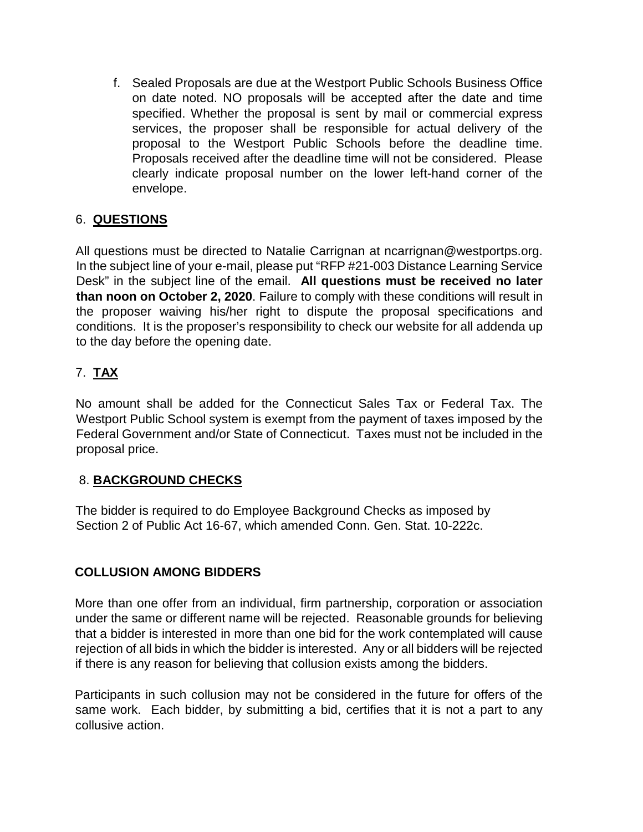f. Sealed Proposals are due at the Westport Public Schools Business Office on date noted. NO proposals will be accepted after the date and time specified. Whether the proposal is sent by mail or commercial express services, the proposer shall be responsible for actual delivery of the proposal to the Westport Public Schools before the deadline time. Proposals received after the deadline time will not be considered. Please clearly indicate proposal number on the lower left-hand corner of the envelope.

# 6. **QUESTIONS**

All questions must be directed to Natalie Carrignan at ncarrignan@westportps.org. In the subject line of your e-mail, please put "RFP #21-003 Distance Learning Service Desk" in the subject line of the email. **All questions must be received no later than noon on October 2, 2020**. Failure to comply with these conditions will result in the proposer waiving his/her right to dispute the proposal specifications and conditions. It is the proposer's responsibility to check our website for all addenda up to the day before the opening date.

# 7. **TAX**

No amount shall be added for the Connecticut Sales Tax or Federal Tax. The Westport Public School system is exempt from the payment of taxes imposed by the Federal Government and/or State of Connecticut. Taxes must not be included in the proposal price.

# 8. **BACKGROUND CHECKS**

The bidder is required to do Employee Background Checks as imposed by Section 2 of Public Act 16-67, which amended Conn. Gen. Stat. 10-222c.

# **COLLUSION AMONG BIDDERS**

More than one offer from an individual, firm partnership, corporation or association under the same or different name will be rejected. Reasonable grounds for believing that a bidder is interested in more than one bid for the work contemplated will cause rejection of all bids in which the bidder is interested. Any or all bidders will be rejected if there is any reason for believing that collusion exists among the bidders.

Participants in such collusion may not be considered in the future for offers of the same work. Each bidder, by submitting a bid, certifies that it is not a part to any collusive action.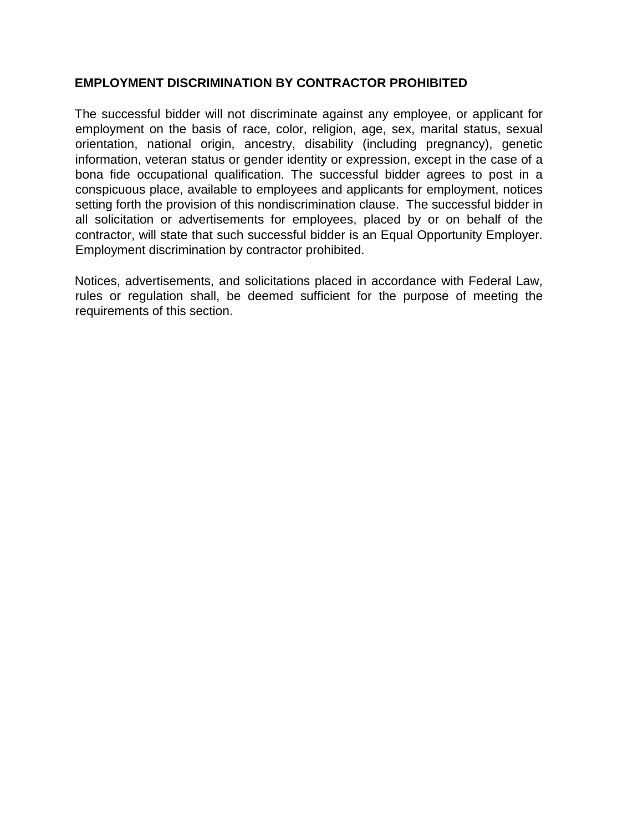#### **EMPLOYMENT DISCRIMINATION BY CONTRACTOR PROHIBITED**

The successful bidder will not discriminate against any employee, or applicant for employment on the basis of race, color, religion, age, sex, marital status, sexual orientation, national origin, ancestry, disability (including pregnancy), genetic information, veteran status or gender identity or expression, except in the case of a bona fide occupational qualification. The successful bidder agrees to post in a conspicuous place, available to employees and applicants for employment, notices setting forth the provision of this nondiscrimination clause. The successful bidder in all solicitation or advertisements for employees, placed by or on behalf of the contractor, will state that such successful bidder is an Equal Opportunity Employer. Employment discrimination by contractor prohibited.

Notices, advertisements, and solicitations placed in accordance with Federal Law, rules or regulation shall, be deemed sufficient for the purpose of meeting the requirements of this section.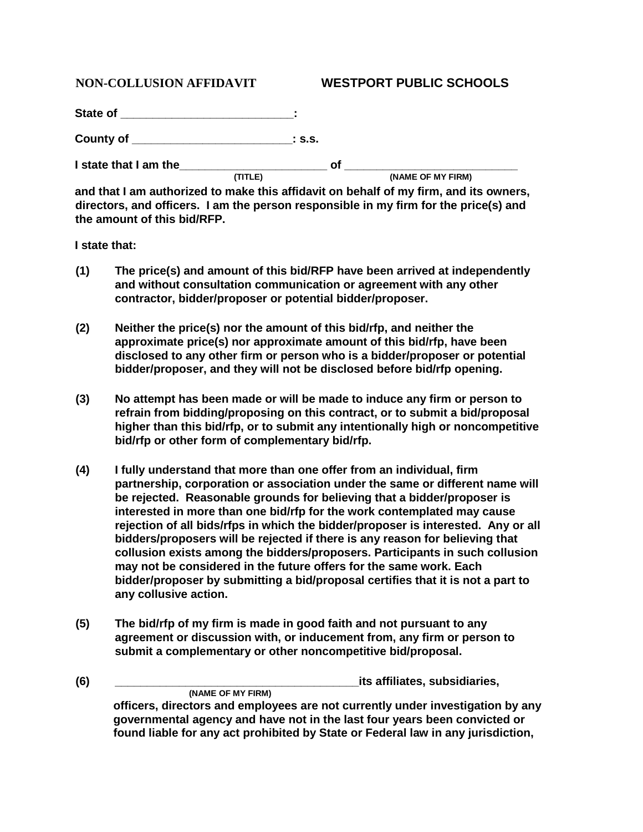#### **NON-COLLUSION AFFIDAVIT WESTPORT PUBLIC SCHOOLS**

State of \_\_\_\_\_\_\_\_\_\_\_\_\_\_\_\_\_\_\_\_\_\_\_\_\_\_\_\_\_\_\_\_: **County of \_\_\_\_\_\_\_\_\_\_\_\_\_\_\_\_\_\_\_\_\_\_\_\_\_: s.s. I** state that I am the  $\frac{(TITLE)}{TITLE}$  of  $\frac{1}{(NAME OF MY FIRM)}$ 

**and that I am authorized to make this affidavit on behalf of my firm, and its owners, directors, and officers. I am the person responsible in my firm for the price(s) and the amount of this bid/RFP.** 

**I state that:**

- **(1) The price(s) and amount of this bid/RFP have been arrived at independently and without consultation communication or agreement with any other contractor, bidder/proposer or potential bidder/proposer.**
- **(2) Neither the price(s) nor the amount of this bid/rfp, and neither the approximate price(s) nor approximate amount of this bid/rfp, have been disclosed to any other firm or person who is a bidder/proposer or potential bidder/proposer, and they will not be disclosed before bid/rfp opening.**
- **(3) No attempt has been made or will be made to induce any firm or person to refrain from bidding/proposing on this contract, or to submit a bid/proposal higher than this bid/rfp, or to submit any intentionally high or noncompetitive bid/rfp or other form of complementary bid/rfp.**
- **(4) I fully understand that more than one offer from an individual, firm partnership, corporation or association under the same or different name will be rejected. Reasonable grounds for believing that a bidder/proposer is interested in more than one bid/rfp for the work contemplated may cause rejection of all bids/rfps in which the bidder/proposer is interested. Any or all bidders/proposers will be rejected if there is any reason for believing that collusion exists among the bidders/proposers. Participants in such collusion may not be considered in the future offers for the same work. Each bidder/proposer by submitting a bid/proposal certifies that it is not a part to any collusive action.**
- **(5) The bid/rfp of my firm is made in good faith and not pursuant to any agreement or discussion with, or inducement from, any firm or person to submit a complementary or other noncompetitive bid/proposal.**
- **(6) \_\_\_\_\_\_\_\_\_\_\_\_\_\_\_\_\_\_\_\_\_\_\_\_\_\_\_\_\_\_\_\_\_\_\_\_\_\_its affiliates, subsidiaries, (NAME OF MY FIRM) officers, directors and employees are not currently under investigation by any governmental agency and have not in the last four years been convicted or found liable for any act prohibited by State or Federal law in any jurisdiction,**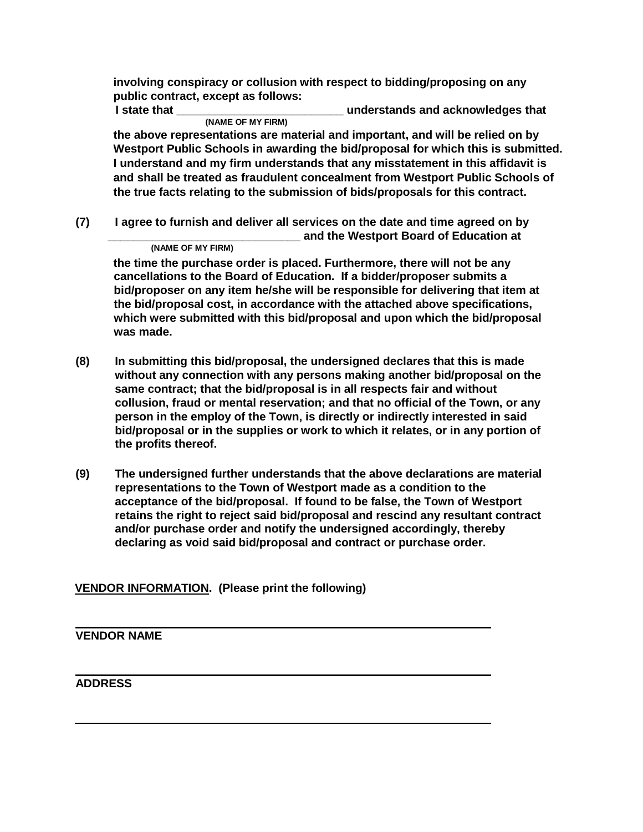**involving conspiracy or collusion with respect to bidding/proposing on any public contract, except as follows:** 

**I state that \_\_\_\_\_\_\_\_\_\_\_\_\_\_\_\_\_\_\_\_\_\_\_\_\_\_ understands and acknowledges that (NAME OF MY FIRM)** 

**the above representations are material and important, and will be relied on by Westport Public Schools in awarding the bid/proposal for which this is submitted. I understand and my firm understands that any misstatement in this affidavit is and shall be treated as fraudulent concealment from Westport Public Schools of the true facts relating to the submission of bids/proposals for this contract.** 

**(7) I agree to furnish and deliver all services on the date and time agreed on by (NAME OF MY FIRM) and the Westport Board of Education at (NAME OF MY FIRM)** 

**the time the purchase order is placed. Furthermore, there will not be any cancellations to the Board of Education. If a bidder/proposer submits a bid/proposer on any item he/she will be responsible for delivering that item at the bid/proposal cost, in accordance with the attached above specifications, which were submitted with this bid/proposal and upon which the bid/proposal was made.** 

- **(8) In submitting this bid/proposal, the undersigned declares that this is made without any connection with any persons making another bid/proposal on the same contract; that the bid/proposal is in all respects fair and without collusion, fraud or mental reservation; and that no official of the Town, or any person in the employ of the Town, is directly or indirectly interested in said bid/proposal or in the supplies or work to which it relates, or in any portion of the profits thereof.**
- **(9) The undersigned further understands that the above declarations are material representations to the Town of Westport made as a condition to the acceptance of the bid/proposal. If found to be false, the Town of Westport retains the right to reject said bid/proposal and rescind any resultant contract and/or purchase order and notify the undersigned accordingly, thereby declaring as void said bid/proposal and contract or purchase order.**

#### **VENDOR INFORMATION. (Please print the following)**

#### **VENDOR NAME**

#### **ADDRESS**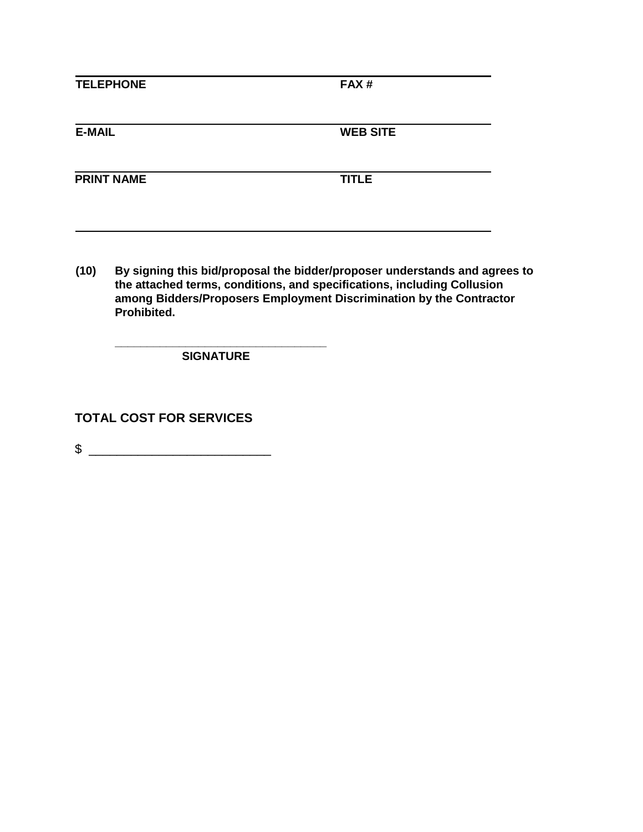| <b>TELEPHONE</b>  | FAX#            |
|-------------------|-----------------|
| <b>E-MAIL</b>     | <b>WEB SITE</b> |
| <b>PRINT NAME</b> | <b>TITLE</b>    |

**(10) By signing this bid/proposal the bidder/proposer understands and agrees to the attached terms, conditions, and specifications, including Collusion among Bidders/Proposers Employment Discrimination by the Contractor Prohibited.** 

 **\_\_\_\_\_\_\_\_\_\_\_\_\_\_\_\_\_\_\_\_\_\_\_\_\_\_\_\_\_\_\_\_\_ SIGNATURE** 

**TOTAL COST FOR SERVICES**

 $\frac{1}{2}$   $\frac{1}{2}$   $\frac{1}{2}$   $\frac{1}{2}$   $\frac{1}{2}$   $\frac{1}{2}$   $\frac{1}{2}$   $\frac{1}{2}$   $\frac{1}{2}$   $\frac{1}{2}$   $\frac{1}{2}$   $\frac{1}{2}$   $\frac{1}{2}$   $\frac{1}{2}$   $\frac{1}{2}$   $\frac{1}{2}$   $\frac{1}{2}$   $\frac{1}{2}$   $\frac{1}{2}$   $\frac{1}{2}$   $\frac{1}{2}$   $\frac{1}{2}$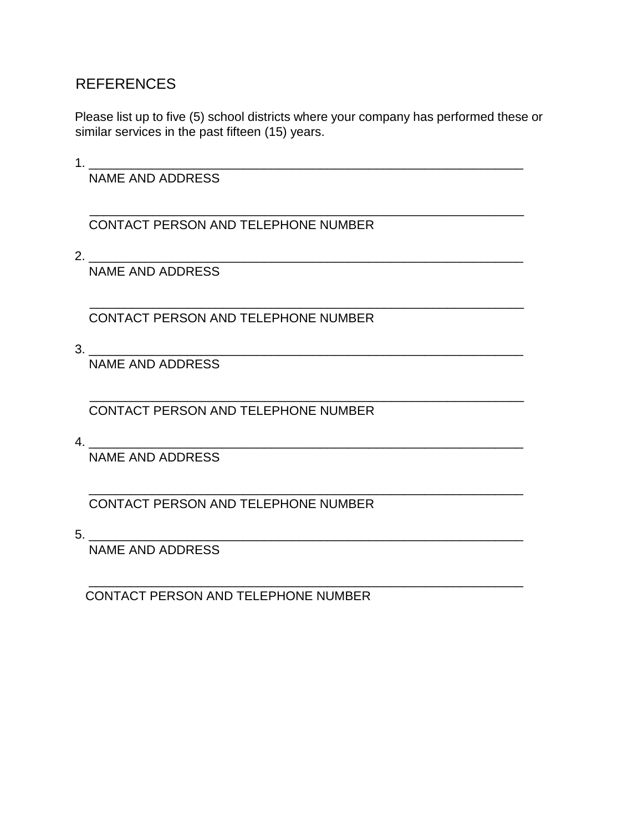# REFERENCES

Please list up to five (5) school districts where your company has performed these or similar services in the past fifteen (15) years.

\_\_\_\_\_\_\_\_\_\_\_\_\_\_\_\_\_\_\_\_\_\_\_\_\_\_\_\_\_\_\_\_\_\_\_\_\_\_\_\_\_\_\_\_\_\_\_\_\_\_\_\_\_\_\_\_\_\_\_\_\_\_

\_\_\_\_\_\_\_\_\_\_\_\_\_\_\_\_\_\_\_\_\_\_\_\_\_\_\_\_\_\_\_\_\_\_\_\_\_\_\_\_\_\_\_\_\_\_\_\_\_\_\_\_\_\_\_\_\_\_\_\_\_\_

\_\_\_\_\_\_\_\_\_\_\_\_\_\_\_\_\_\_\_\_\_\_\_\_\_\_\_\_\_\_\_\_\_\_\_\_\_\_\_\_\_\_\_\_\_\_\_\_\_\_\_\_\_\_\_\_\_\_\_\_\_\_

\_\_\_\_\_\_\_\_\_\_\_\_\_\_\_\_\_\_\_\_\_\_\_\_\_\_\_\_\_\_\_\_\_\_\_\_\_\_\_\_\_\_\_\_\_\_\_\_\_\_\_\_\_\_\_\_\_\_\_\_\_\_

 $1.$ 

NAME AND ADDRESS

CONTACT PERSON AND TELEPHONE NUMBER

2. \_\_\_\_\_\_\_\_\_\_\_\_\_\_\_\_\_\_\_\_\_\_\_\_\_\_\_\_\_\_\_\_\_\_\_\_\_\_\_\_\_\_\_\_\_\_\_\_\_\_\_\_\_\_\_\_\_\_\_\_\_\_

NAME AND ADDRESS

CONTACT PERSON AND TELEPHONE NUMBER

3. \_\_\_\_\_\_\_\_\_\_\_\_\_\_\_\_\_\_\_\_\_\_\_\_\_\_\_\_\_\_\_\_\_\_\_\_\_\_\_\_\_\_\_\_\_\_\_\_\_\_\_\_\_\_\_\_\_\_\_\_\_\_

NAME AND ADDRESS

 \_\_\_\_\_\_\_\_\_\_\_\_\_\_\_\_\_\_\_\_\_\_\_\_\_\_\_\_\_\_\_\_\_\_\_\_\_\_\_\_\_\_\_\_\_\_\_\_\_\_\_\_\_\_\_\_\_\_\_\_\_\_ CONTACT PERSON AND TELEPHONE NUMBER

4. \_\_\_\_\_\_\_\_\_\_\_\_\_\_\_\_\_\_\_\_\_\_\_\_\_\_\_\_\_\_\_\_\_\_\_\_\_\_\_\_\_\_\_\_\_\_\_\_\_\_\_\_\_\_\_\_\_\_\_\_\_\_

NAME AND ADDRESS

CONTACT PERSON AND TELEPHONE NUMBER

5. \_\_\_\_\_\_\_\_\_\_\_\_\_\_\_\_\_\_\_\_\_\_\_\_\_\_\_\_\_\_\_\_\_\_\_\_\_\_\_\_\_\_\_\_\_\_\_\_\_\_\_\_\_\_\_\_\_\_\_\_\_\_ NAME AND ADDRESS

CONTACT PERSON AND TELEPHONE NUMBER